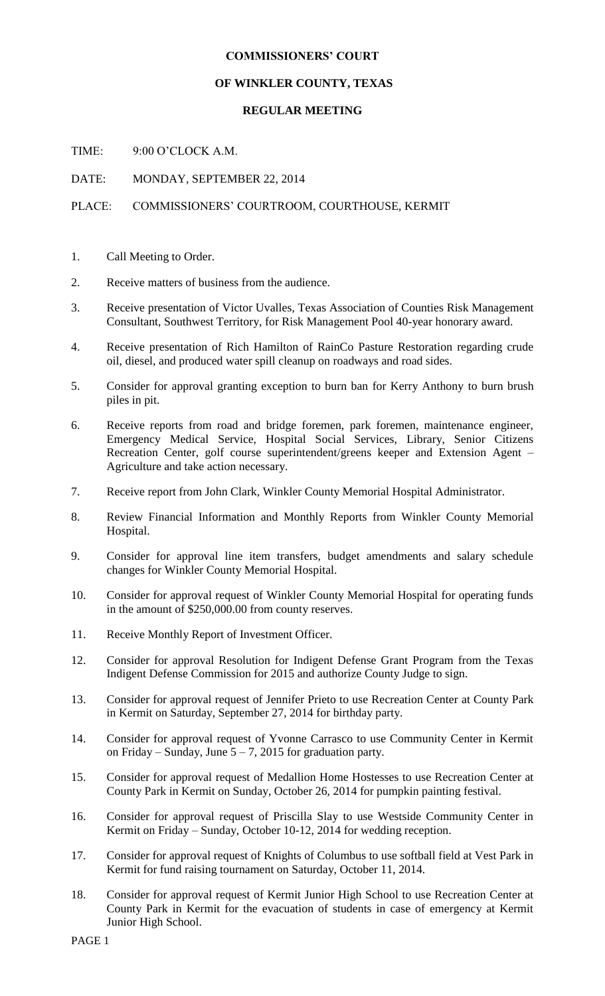#### **COMMISSIONERS' COURT**

# **OF WINKLER COUNTY, TEXAS**

# **REGULAR MEETING**

TIME: 9:00 O'CLOCK A.M.

DATE: MONDAY, SEPTEMBER 22, 2014

# PLACE: COMMISSIONERS' COURTROOM, COURTHOUSE, KERMIT

- 1. Call Meeting to Order.
- 2. Receive matters of business from the audience.
- 3. Receive presentation of Victor Uvalles, Texas Association of Counties Risk Management Consultant, Southwest Territory, for Risk Management Pool 40-year honorary award.
- 4. Receive presentation of Rich Hamilton of RainCo Pasture Restoration regarding crude oil, diesel, and produced water spill cleanup on roadways and road sides.
- 5. Consider for approval granting exception to burn ban for Kerry Anthony to burn brush piles in pit.
- 6. Receive reports from road and bridge foremen, park foremen, maintenance engineer, Emergency Medical Service, Hospital Social Services, Library, Senior Citizens Recreation Center, golf course superintendent/greens keeper and Extension Agent – Agriculture and take action necessary.
- 7. Receive report from John Clark, Winkler County Memorial Hospital Administrator.
- 8. Review Financial Information and Monthly Reports from Winkler County Memorial Hospital.
- 9. Consider for approval line item transfers, budget amendments and salary schedule changes for Winkler County Memorial Hospital.
- 10. Consider for approval request of Winkler County Memorial Hospital for operating funds in the amount of \$250,000.00 from county reserves.
- 11. Receive Monthly Report of Investment Officer.
- 12. Consider for approval Resolution for Indigent Defense Grant Program from the Texas Indigent Defense Commission for 2015 and authorize County Judge to sign.
- 13. Consider for approval request of Jennifer Prieto to use Recreation Center at County Park in Kermit on Saturday, September 27, 2014 for birthday party.
- 14. Consider for approval request of Yvonne Carrasco to use Community Center in Kermit on Friday – Sunday, June  $5 - 7$ , 2015 for graduation party.
- 15. Consider for approval request of Medallion Home Hostesses to use Recreation Center at County Park in Kermit on Sunday, October 26, 2014 for pumpkin painting festival.
- 16. Consider for approval request of Priscilla Slay to use Westside Community Center in Kermit on Friday – Sunday, October 10-12, 2014 for wedding reception.
- 17. Consider for approval request of Knights of Columbus to use softball field at Vest Park in Kermit for fund raising tournament on Saturday, October 11, 2014.
- 18. Consider for approval request of Kermit Junior High School to use Recreation Center at County Park in Kermit for the evacuation of students in case of emergency at Kermit Junior High School.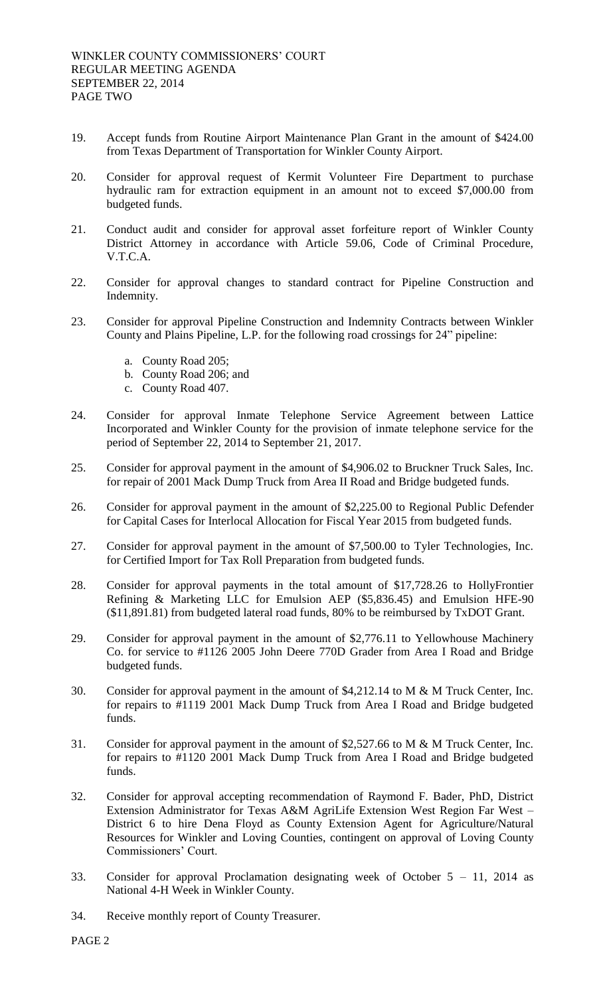- 19. Accept funds from Routine Airport Maintenance Plan Grant in the amount of \$424.00 from Texas Department of Transportation for Winkler County Airport.
- 20. Consider for approval request of Kermit Volunteer Fire Department to purchase hydraulic ram for extraction equipment in an amount not to exceed \$7,000.00 from budgeted funds.
- 21. Conduct audit and consider for approval asset forfeiture report of Winkler County District Attorney in accordance with Article 59.06, Code of Criminal Procedure, V.T.C.A.
- 22. Consider for approval changes to standard contract for Pipeline Construction and Indemnity.
- 23. Consider for approval Pipeline Construction and Indemnity Contracts between Winkler County and Plains Pipeline, L.P. for the following road crossings for 24" pipeline:
	- a. County Road 205;
	- b. County Road 206; and
	- c. County Road 407.
- 24. Consider for approval Inmate Telephone Service Agreement between Lattice Incorporated and Winkler County for the provision of inmate telephone service for the period of September 22, 2014 to September 21, 2017.
- 25. Consider for approval payment in the amount of \$4,906.02 to Bruckner Truck Sales, Inc. for repair of 2001 Mack Dump Truck from Area II Road and Bridge budgeted funds.
- 26. Consider for approval payment in the amount of \$2,225.00 to Regional Public Defender for Capital Cases for Interlocal Allocation for Fiscal Year 2015 from budgeted funds.
- 27. Consider for approval payment in the amount of \$7,500.00 to Tyler Technologies, Inc. for Certified Import for Tax Roll Preparation from budgeted funds.
- 28. Consider for approval payments in the total amount of \$17,728.26 to HollyFrontier Refining & Marketing LLC for Emulsion AEP (\$5,836.45) and Emulsion HFE-90 (\$11,891.81) from budgeted lateral road funds, 80% to be reimbursed by TxDOT Grant.
- 29. Consider for approval payment in the amount of \$2,776.11 to Yellowhouse Machinery Co. for service to #1126 2005 John Deere 770D Grader from Area I Road and Bridge budgeted funds.
- 30. Consider for approval payment in the amount of \$4,212.14 to M & M Truck Center, Inc. for repairs to #1119 2001 Mack Dump Truck from Area I Road and Bridge budgeted funds.
- 31. Consider for approval payment in the amount of \$2,527.66 to M & M Truck Center, Inc. for repairs to #1120 2001 Mack Dump Truck from Area I Road and Bridge budgeted funds.
- 32. Consider for approval accepting recommendation of Raymond F. Bader, PhD, District Extension Administrator for Texas A&M AgriLife Extension West Region Far West – District 6 to hire Dena Floyd as County Extension Agent for Agriculture/Natural Resources for Winkler and Loving Counties, contingent on approval of Loving County Commissioners' Court.
- 33. Consider for approval Proclamation designating week of October 5 11, 2014 as National 4-H Week in Winkler County.
- 34. Receive monthly report of County Treasurer.